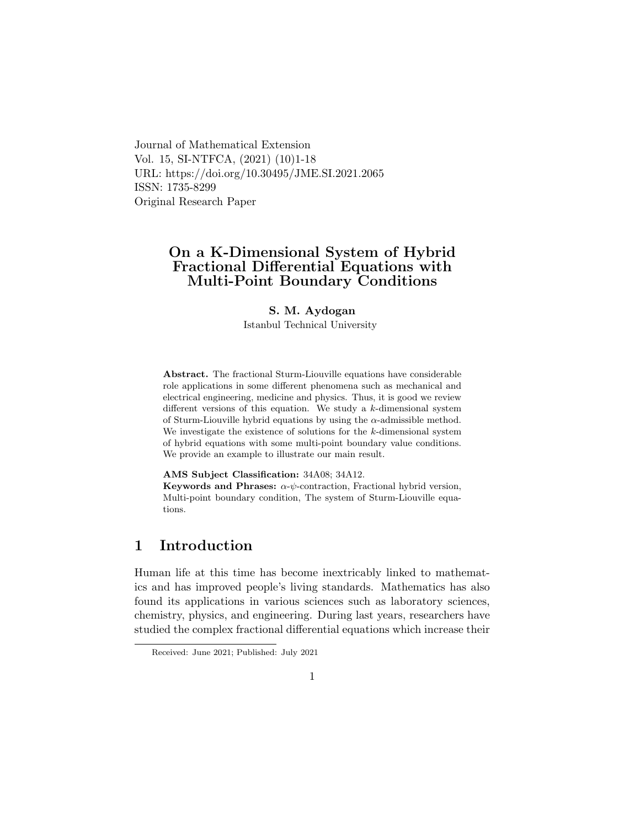Journal of Mathematical Extension Vol. 15, SI-NTFCA, (2021) (10)1-18 URL: https://doi.org/10.30495/JME.SI.2021.2065 ISSN: 1735-8299 Original Research Paper

## On a K-Dimensional System of Hybrid Fractional Differential Equations with Multi-Point Boundary Conditions

#### S. M. Aydogan

Istanbul Technical University

Abstract. The fractional Sturm-Liouville equations have considerable role applications in some different phenomena such as mechanical and electrical engineering, medicine and physics. Thus, it is good we review different versions of this equation. We study a k-dimensional system of Sturm-Liouville hybrid equations by using the  $\alpha$ -admissible method. We investigate the existence of solutions for the  $k$ -dimensional system of hybrid equations with some multi-point boundary value conditions. We provide an example to illustrate our main result.

AMS Subject Classification: 34A08; 34A12.

Keywords and Phrases:  $\alpha$ - $\psi$ -contraction, Fractional hybrid version, Multi-point boundary condition, The system of Sturm-Liouville equations.

## 1 Introduction

Human life at this time has become inextricably linked to mathematics and has improved people's living standards. Mathematics has also found its applications in various sciences such as laboratory sciences, chemistry, physics, and engineering. During last years, researchers have studied the complex fractional differential equations which increase their

Received: June 2021; Published: July 2021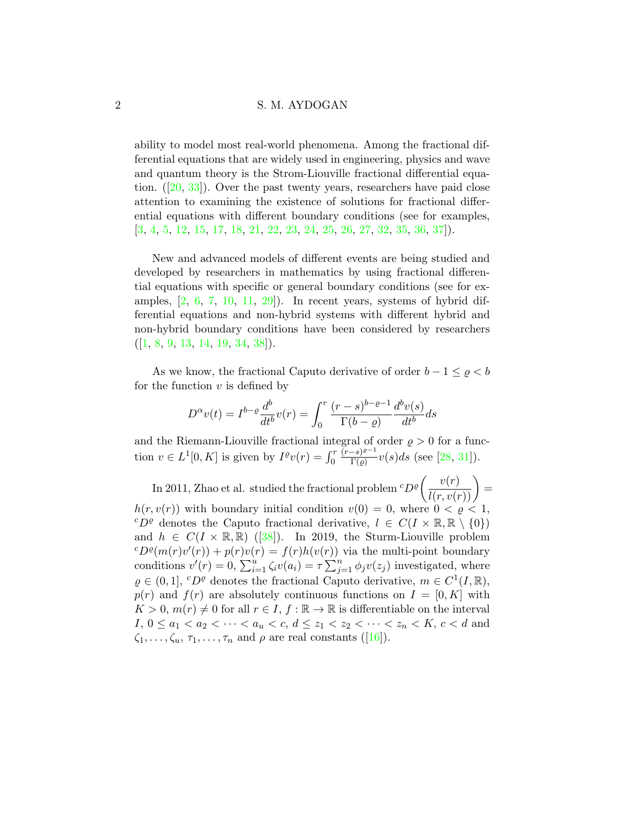ability to model most real-world phenomena. Among the fractional differential equations that are widely used in engineering, physics and wave and quantum theory is the Strom-Liouville fractional differential equation.([\[20,](#page-15-0) [33\]](#page-16-0)). Over the past twenty years, researchers have paid close attention to examining the existence of solutions for fractional differential equations with different boundary conditions (see for examples, [\[3,](#page-13-0) [4,](#page-13-1) [5,](#page-13-2) [12,](#page-14-0) [15,](#page-14-1) [17,](#page-14-2) [18,](#page-15-1) [21,](#page-15-2) [22,](#page-15-3) [23,](#page-15-4) [24,](#page-15-5) [25,](#page-15-6) [26,](#page-15-7) [27,](#page-16-1) [32,](#page-16-2) [35,](#page-16-3) [36,](#page-16-4) [37\]](#page-16-5)).

New and advanced models of different events are being studied and developed by researchers in mathematics by using fractional differential equations with specific or general boundary conditions (see for examples,  $[2, 6, 7, 10, 11, 29]$  $[2, 6, 7, 10, 11, 29]$  $[2, 6, 7, 10, 11, 29]$  $[2, 6, 7, 10, 11, 29]$  $[2, 6, 7, 10, 11, 29]$  $[2, 6, 7, 10, 11, 29]$  $[2, 6, 7, 10, 11, 29]$  $[2, 6, 7, 10, 11, 29]$  $[2, 6, 7, 10, 11, 29]$  $[2, 6, 7, 10, 11, 29]$ . In recent years, systems of hybrid differential equations and non-hybrid systems with different hybrid and non-hybrid boundary conditions have been considered by researchers  $([1, 8, 9, 13, 14, 19, 34, 38]).$  $([1, 8, 9, 13, 14, 19, 34, 38]).$  $([1, 8, 9, 13, 14, 19, 34, 38]).$  $([1, 8, 9, 13, 14, 19, 34, 38]).$  $([1, 8, 9, 13, 14, 19, 34, 38]).$  $([1, 8, 9, 13, 14, 19, 34, 38]).$  $([1, 8, 9, 13, 14, 19, 34, 38]).$  $([1, 8, 9, 13, 14, 19, 34, 38]).$  $([1, 8, 9, 13, 14, 19, 34, 38]).$  $([1, 8, 9, 13, 14, 19, 34, 38]).$  $([1, 8, 9, 13, 14, 19, 34, 38]).$  $([1, 8, 9, 13, 14, 19, 34, 38]).$  $([1, 8, 9, 13, 14, 19, 34, 38]).$  $([1, 8, 9, 13, 14, 19, 34, 38]).$  $([1, 8, 9, 13, 14, 19, 34, 38]).$  $([1, 8, 9, 13, 14, 19, 34, 38]).$  $([1, 8, 9, 13, 14, 19, 34, 38]).$ 

As we know, the fractional Caputo derivative of order  $b - 1 \leq \varrho < b$ for the function  $v$  is defined by

$$
D^{\alpha}v(t) = I^{b-\varrho}\frac{d^b}{dt^b}v(r) = \int_0^r \frac{(r-s)^{b-\varrho-1}}{\Gamma(b-\varrho)}\frac{d^b v(s)}{dt^b}ds
$$

and the Riemann-Liouville fractional integral of order  $\rho > 0$  for a function  $v \in L^1[0, K]$  is given by  $I^{\varrho}v(r) = \int_0^r v(r) dr$  $(r-s)^{\varrho-1}$  $\frac{-s}{\Gamma(\varrho)}v(s)ds$  (see [\[28,](#page-16-8) [31\]](#page-16-9)).

In 2011, Zhao et al. studied the fractional problem  ${}^{c}D^{\varrho}\left(\frac{v(r)}{l(r,v(r))}\right) =$  $h(r, v(r))$  with boundary initial condition  $v(0) = 0$ , where  $0 < \rho < 1$ , <sup>c</sup>D<sup>*e*</sup> denotes the Caputo fractional derivative,  $l \in C(I \times \mathbb{R}, \mathbb{R} \setminus \{0\})$ and $h \in C(I \times \mathbb{R}, \mathbb{R})$  ([\[38\]](#page-17-0)). In 2019, the Sturm-Liouville problem  $cD^{\rho}(m(r)v'(r)) + p(r)v(r) = f(r)h(v(r))$  via the multi-point boundary conditions  $v'(r) = 0$ ,  $\sum_{i=1}^{u} \zeta_i v(a_i) = \tau \sum_{j=1}^{n} \phi_j v(z_j)$  investigated, where  $\varrho \in (0, 1], {}^{c}D^{\varrho}$  denotes the fractional Caputo derivative,  $m \in C^{1}(I, \mathbb{R}),$  $p(r)$  and  $f(r)$  are absolutely continuous functions on  $I = [0, K]$  with  $K > 0$ ,  $m(r) \neq 0$  for all  $r \in I$ ,  $f : \mathbb{R} \to \mathbb{R}$  is differentiable on the interval I,  $0 \le a_1 < a_2 < \cdots < a_u < c, d \le z_1 < z_2 < \cdots < z_n < K, c < d$  and  $\zeta_1, \ldots, \zeta_u, \tau_1, \ldots, \tau_n$  $\zeta_1, \ldots, \zeta_u, \tau_1, \ldots, \tau_n$  $\zeta_1, \ldots, \zeta_u, \tau_1, \ldots, \tau_n$  and  $\rho$  are real constants ([\[16\]](#page-14-9)).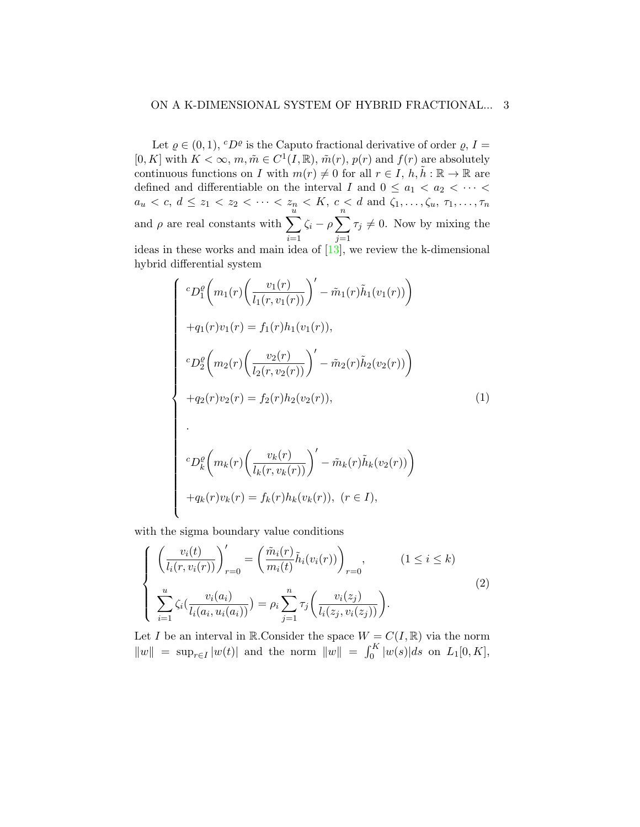Let  $\varrho \in (0,1)$ ,  ${}^cD^{\varrho}$  is the Caputo fractional derivative of order  $\varrho$ ,  $I =$ [0, K] with  $K < \infty$ ,  $m, \tilde{m} \in C^1(I, \mathbb{R})$ ,  $\tilde{m}(r)$ ,  $p(r)$  and  $f(r)$  are absolutely continuous functions on I with  $m(r) \neq 0$  for all  $r \in I$ ,  $h, \tilde{h} : \mathbb{R} \to \mathbb{R}$  are defined and differentiable on the interval I and  $0 \le a_1 < a_2 < \cdots <$  $a_u < c, d \le z_1 < z_2 < \cdots < z_n < K, c < d \text{ and } \zeta_1, \ldots, \zeta_u, \tau_1, \ldots, \tau_n$ and  $\rho$  are real constants with  $\sum_{n=1}^{u}$  $i=1$  $\zeta_i - \rho \sum_{i=1}^{n}$  $j=1$  $\tau_j \neq 0$ . Now by mixing the ideas in these works and main idea of  $[13]$ , we review the k-dimensional hybrid differential system

<span id="page-2-0"></span>
$$
\begin{cases}\n^{c}D_{1}^{\varrho}\bigg(m_{1}(r)\bigg(\frac{v_{1}(r)}{l_{1}(r,v_{1}(r))}\bigg)^{\prime}-\tilde{m}_{1}(r)\tilde{h}_{1}(v_{1}(r))\bigg) \\
+q_{1}(r)v_{1}(r) = f_{1}(r)h_{1}(v_{1}(r)), \\
^{c}D_{2}^{\varrho}\bigg(m_{2}(r)\bigg(\frac{v_{2}(r)}{l_{2}(r,v_{2}(r))}\bigg)^{\prime}-\tilde{m}_{2}(r)\tilde{h}_{2}(v_{2}(r))\bigg) \\
+q_{2}(r)v_{2}(r) = f_{2}(r)h_{2}(v_{2}(r)), \\
\cdot \\
^{c}D_{k}^{\varrho}\bigg(m_{k}(r)\bigg(\frac{v_{k}(r)}{l_{k}(r,v_{k}(r))}\bigg)^{\prime}-\tilde{m}_{k}(r)\tilde{h}_{k}(v_{2}(r))\bigg) \\
+q_{k}(r)v_{k}(r) = f_{k}(r)h_{k}(v_{k}(r)), \quad (r \in I),\n\end{cases} \tag{1}
$$

with the sigma boundary value conditions

<span id="page-2-1"></span>
$$
\begin{cases}\n\left(\frac{v_i(t)}{l_i(r,v_i(r))}\right)_{r=0}' = \left(\frac{\tilde{m}_i(r)}{m_i(t)}\tilde{h}_i(v_i(r))\right)_{r=0}, & (1 \le i \le k) \\
\sum_{i=1}^u \zeta_i\left(\frac{v_i(a_i)}{l_i(a_i, u_i(a_i))}\right) = \rho_i \sum_{j=1}^n \tau_j\left(\frac{v_i(z_j)}{l_i(z_j, v_i(z_j))}\right).\n\end{cases}
$$
\n
$$
(2)
$$

Let I be an interval in  $\mathbb{R}$ . Consider the space  $W = C(I, \mathbb{R})$  via the norm  $||w|| = \sup_{r \in I} |w(t)|$  and the norm  $||w|| = \int_0^K |w(s)| ds$  on  $L_1[0, K]$ ,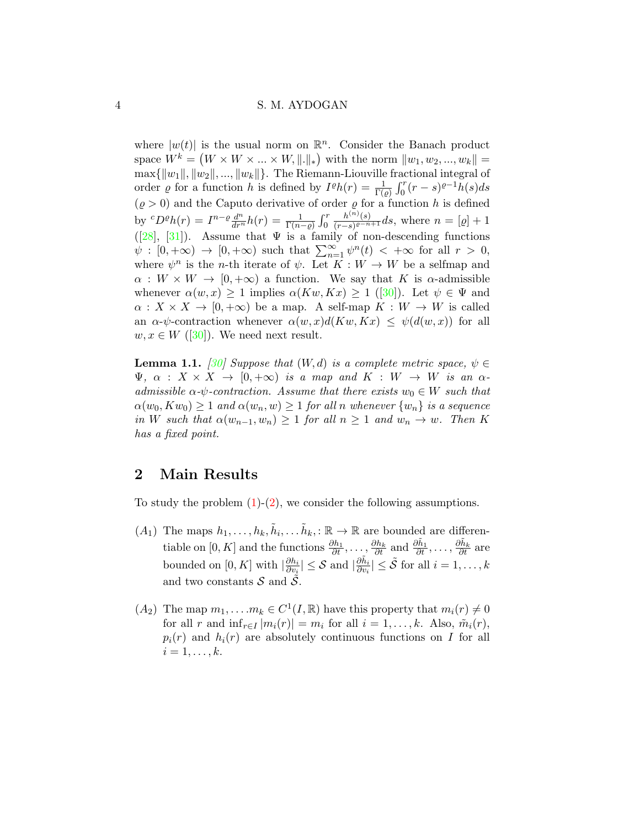where  $|w(t)|$  is the usual norm on  $\mathbb{R}^n$ . Consider the Banach product space  $W^k = (W \times W \times ... \times W, ||.||_*)$  with the norm  $||w_1, w_2, ..., w_k|| =$  $\max\{\Vert w_1\Vert, \Vert w_2\Vert, \dots, \Vert w_k\Vert\}.$  The Riemann-Liouville fractional integral of order *g* for a function h is defined by  $I^{\rho}h(r) = \frac{1}{\Gamma(\rho)} \int_0^r (r-s)^{\rho-1}h(s)ds$  $(\varrho > 0)$  and the Caputo derivative of order  $\varrho$  for a function h is defined by  ${}^cD^{\rho}h(r) = I^{n-\rho}\frac{d^n}{dr^n}h(r) = \frac{1}{\Gamma(n-\rho)}\int_0^r$  $h^{(n)}(s)$  $\frac{n^{(n)}(s)}{(r-s)e^{-n+1}}$ ds, where  $n = [\varrho] + 1$  $([28], [31])$  $([28], [31])$  $([28], [31])$  $([28], [31])$  $([28], [31])$ . Assume that  $\Psi$  is a family of non-descending functions  $\psi : [0, +\infty) \to [0, +\infty)$  such that  $\sum_{n=1}^{\infty} \psi^{n}(t) < +\infty$  for all  $r > 0$ , where  $\psi^n$  is the *n*-th iterate of  $\psi$ . Let  $\overline{K}: W \to W$  be a selfmap and  $\alpha: W \times W \to [0, +\infty)$  a function. We say that K is  $\alpha$ -admissible whenever $\alpha(w, x) \geq 1$  implies  $\alpha(Kw, Kx) \geq 1$  ([\[30\]](#page-16-10)). Let  $\psi \in \Psi$  and  $\alpha: X \times X \to [0, +\infty)$  be a map. A self-map  $K: W \to W$  is called an  $\alpha$ - $\psi$ -contraction whenever  $\alpha(w, x)d(Kw, Kx) \leq \psi(d(w, x))$  for all  $w, x \in W$  ([\[30\]](#page-16-10)). We need next result.

<span id="page-3-0"></span>**Lemma 1.1.** [\[30\]](#page-16-10) Suppose that  $(W, d)$  is a complete metric space,  $\psi \in$  $\Psi$ ,  $\alpha$  :  $X \times X \rightarrow [0, +\infty)$  is a map and  $K : W \rightarrow W$  is an  $\alpha$ admissible  $\alpha$ - $\psi$ -contraction. Assume that there exists  $w_0 \in W$  such that  $\alpha(w_0, Kw_0) \geq 1$  and  $\alpha(w_n, w) \geq 1$  for all n whenever  $\{w_n\}$  is a sequence in W such that  $\alpha(w_{n-1}, w_n) \geq 1$  for all  $n \geq 1$  and  $w_n \to w$ . Then K has a fixed point.

## 2 Main Results

To study the problem  $(1)-(2)$  $(1)-(2)$ , we consider the following assumptions.

- $(A_1)$  The maps  $h_1, \ldots, h_k, \tilde{h}_i, \ldots, \tilde{h}_k, : \mathbb{R} \to \mathbb{R}$  are bounded are differentiable on  $[0, K]$  and the functions  $\frac{\partial h_1}{\partial t}, \ldots, \frac{\partial h_k}{\partial t}$  and  $\frac{\partial \tilde{h}_1}{\partial t}, \ldots, \frac{\partial \tilde{h}_k}{\partial t}$  are bounded on [0, K] with  $\left|\frac{\partial h_i}{\partial v_i}\right|$  $\frac{\partial h_i}{\partial v_i} \vert \leq \mathcal{S} \text{ and } \vert \frac{\partial \tilde{h}_i}{\partial v_i} \vert \leq \tilde{\mathcal{S}} \text{ for all } i=1,\ldots,k$ and two constants  $S$  and  $\overline{S}$ .
- $(A_2)$  The map  $m_1, \ldots, m_k \in C^1(I, \mathbb{R})$  have this property that  $m_i(r) \neq 0$ for all r and  $\inf_{r \in I} |m_i(r)| = m_i$  for all  $i = 1, \ldots, k$ . Also,  $\tilde{m}_i(r)$ ,  $p_i(r)$  and  $h_i(r)$  are absolutely continuous functions on I for all  $i=1,\ldots,k.$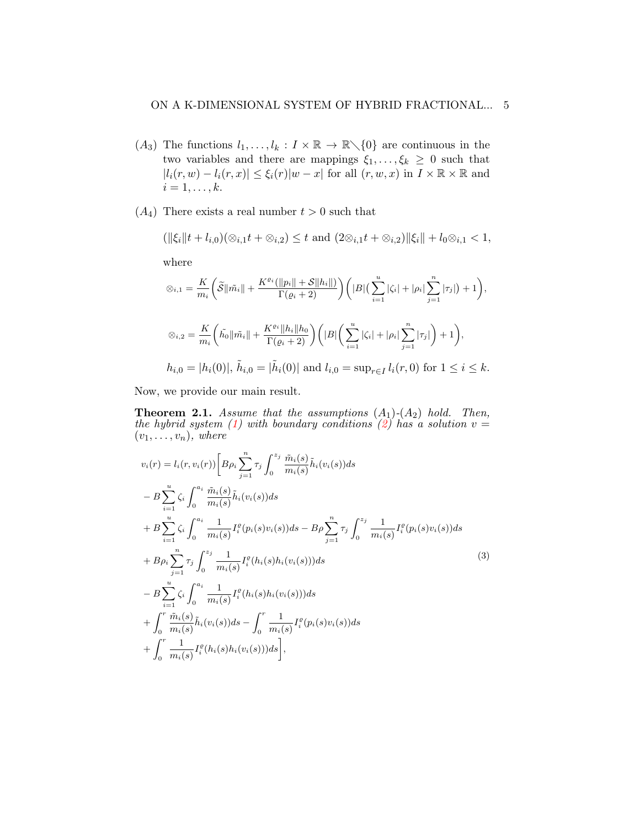- $(A_3)$  The functions  $l_1, \ldots, l_k : I \times \mathbb{R} \to \mathbb{R} \setminus \{0\}$  are continuous in the two variables and there are mappings  $\xi_1, \ldots, \xi_k \geq 0$  such that  $|l_i(r, w) - l_i(r, x)| \leq \xi_i(r)|w - x|$  for all  $(r, w, x)$  in  $I \times \mathbb{R} \times \mathbb{R}$  and  $i=1,\ldots,k.$
- $(A_4)$  There exists a real number  $t > 0$  such that

$$
(\|\xi_i\|t+l_{i,0})(\otimes_{i,1}t+\otimes_{i,2})\leq t \text{ and } (2\otimes_{i,1}t+\otimes_{i,2})\|\xi_i\|+l_0\otimes_{i,1}<1,
$$

where

$$
\varnothing_{i,1} = \frac{K}{m_i} \left( \tilde{S} \|\tilde{m_i}\| + \frac{K^{\varrho_i}(\|p_i\| + S\|h_i\|)}{\Gamma(\varrho_i + 2)} \right) \left( |B| \left( \sum_{i=1}^u |\zeta_i| + |\rho_i| \sum_{j=1}^n |\tau_j| \right) + 1 \right),
$$
  

$$
\varnothing_{i,2} = \frac{K}{m_i} \left( \tilde{h_0} \|\tilde{m_i}\| + \frac{K^{\varrho_i} \|h_i\| h_0}{\Gamma(\varrho_i + 2)} \right) \left( |B| \left( \sum_{i=1}^u |\zeta_i| + |\rho_i| \sum_{j=1}^n |\tau_j| \right) + 1 \right),
$$
  

$$
h_{i,0} = |h_i(0)|, \ \tilde{h}_{i,0} = |\tilde{h}_i(0)| \text{ and } l_{i,0} = \sup_{r \in I} l_i(r, 0) \text{ for } 1 \le i \le k.
$$

Now, we provide our main result.

<span id="page-4-0"></span>**Theorem 2.1.** Assume that the assumptions  $(A_1)-(A_2)$  hold. Then, the hybrid system [\(1\)](#page-2-0) with boundary conditions [\(2\)](#page-2-1) has a solution  $v =$  $(v_1, \ldots, v_n)$ , where

$$
v_i(r) = l_i(r, v_i(r)) \left[ B \rho_i \sum_{j=1}^n \tau_j \int_0^{z_j} \frac{\tilde{m}_i(s)}{m_i(s)} \tilde{h}_i(v_i(s)) ds \right.- B \sum_{i=1}^u \zeta_i \int_0^{a_i} \frac{\tilde{m}_i(s)}{m_i(s)} \tilde{h}_i(v_i(s)) ds + B \sum_{i=1}^u \zeta_i \int_0^{a_i} \frac{1}{m_i(s)} I_i^{\varrho}(p_i(s)v_i(s)) ds - B \rho \sum_{j=1}^n \tau_j \int_0^{z_j} \frac{1}{m_i(s)} I_i^{\varrho}(p_i(s)v_i(s)) ds + B \rho_i \sum_{j=1}^n \tau_j \int_0^{z_j} \frac{1}{m_i(s)} I_i^{\varrho}(h_i(s)h_i(v_i(s))) ds - B \sum_{i=1}^u \zeta_i \int_0^{a_i} \frac{1}{m_i(s)} I_i^{\varrho}(h_i(s)h_i(v_i(s))) ds + \int_0^r \frac{\tilde{m}_i(s)}{m_i(s)} \tilde{h}_i(v_i(s)) ds - \int_0^r \frac{1}{m_i(s)} I_i^{\varrho}(p_i(s)v_i(s)) ds + \int_0^r \frac{1}{m_i(s)} I_i^{\varrho}(h_i(s)h_i(v_i(s))) ds \right],
$$
\n(3)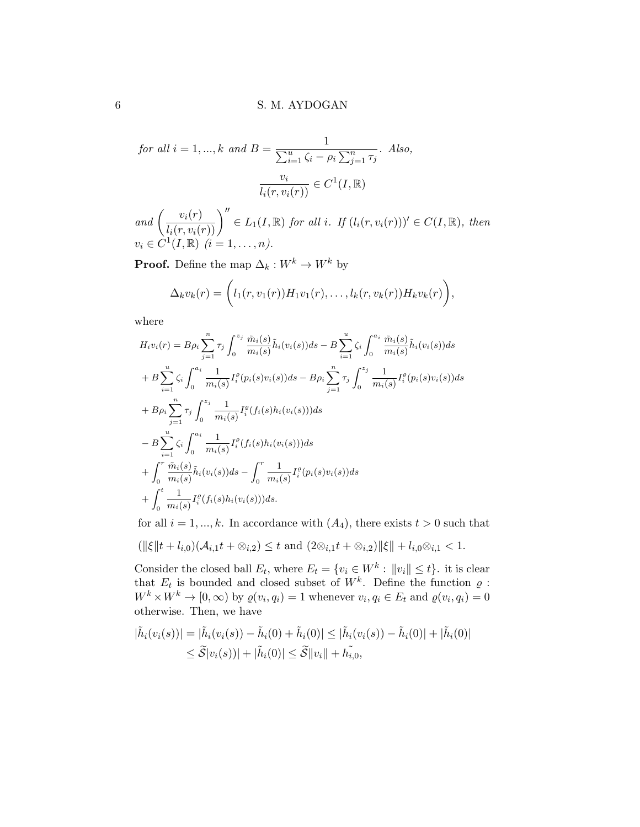for all 
$$
i = 1, ..., k
$$
 and  $B = \frac{1}{\sum_{i=1}^{u} \zeta_i - \rho_i \sum_{j=1}^{n} \tau_j}$ . Also,  

$$
\frac{v_i}{l_i(r, v_i(r))} \in C^1(I, \mathbb{R})
$$

and  $\left(\frac{v_i(r)}{l_i(r, v_i(r))}\right)^{\prime\prime} \in L_1(I, \mathbb{R})$  for all i. If  $(l_i(r, v_i(r)))^{\prime} \in C(I, \mathbb{R})$ , then  $v_i \in C^1(I, \mathbb{R}) \, (i = 1, \ldots, n).$ 

**Proof.** Define the map  $\Delta_k : W^k \to W^k$  by

$$
\Delta_kv_k(r)=\Big(l_1(r,v_1(r))H_1v_1(r),\ldots,l_k(r,v_k(r))H_kv_k(r)\Big),
$$

where

$$
H_i v_i(r) = B \rho_i \sum_{j=1}^n \tau_j \int_0^{z_j} \frac{\tilde{m}_i(s)}{m_i(s)} \tilde{h}_i(v_i(s)) ds - B \sum_{i=1}^u \zeta_i \int_0^{a_i} \frac{\tilde{m}_i(s)}{m_i(s)} \tilde{h}_i(v_i(s)) ds + B \sum_{i=1}^u \zeta_i \int_0^{a_i} \frac{1}{m_i(s)} I_i^{\varrho}(p_i(s)v_i(s)) ds - B \rho_i \sum_{j=1}^n \tau_j \int_0^{z_j} \frac{1}{m_i(s)} I_i^{\varrho}(p_i(s)v_i(s)) ds + B \rho_i \sum_{j=1}^n \tau_j \int_0^{z_j} \frac{1}{m_i(s)} I_i^{\varrho}(f_i(s) h_i(v_i(s))) ds - B \sum_{i=1}^u \zeta_i \int_0^{a_i} \frac{1}{m_i(s)} I_i^{\varrho}(f_i(s) h_i(v_i(s))) ds + \int_0^r \frac{\tilde{m}_i(s)}{m_i(s)} \tilde{h}_i(v_i(s)) ds - \int_0^r \frac{1}{m_i(s)} I_i^{\varrho}(p_i(s) v_i(s)) ds + \int_0^t \frac{1}{m_i(s)} I_i^{\varrho}(f_i(s) h_i(v_i(s))) ds.
$$

for all  $i = 1, ..., k$ . In accordance with  $(A_4)$ , there exists  $t > 0$  such that

$$
(\|\xi\|t + l_{i,0})(\mathcal{A}_{i,1}t + \otimes_{i,2}) \leq t \text{ and } (2\otimes_{i,1}t + \otimes_{i,2})\|\xi\| + l_{i,0}\otimes_{i,1} < 1.
$$

Consider the closed ball  $E_t$ , where  $E_t = \{v_i \in W^k : ||v_i|| \le t\}$ . it is clear that  $E_t$  is bounded and closed subset of  $W^k$ . Define the function  $\varrho$ :  $W^k \times W^k \to [0, \infty)$  by  $\varrho(v_i, q_i) = 1$  whenever  $v_i, q_i \in E_t$  and  $\varrho(v_i, q_i) = 0$ otherwise. Then, we have

$$
|\tilde{h}_i(v_i(s))| = |\tilde{h}_i(v_i(s)) - \tilde{h}_i(0) + \tilde{h}_i(0)| \leq |\tilde{h}_i(v_i(s)) - \tilde{h}_i(0)| + |\tilde{h}_i(0)|
$$
  

$$
\leq \tilde{S}|v_i(s)| + |\tilde{h}_i(0)| \leq \tilde{S}||v_i|| + h_{i,0}^{\tilde{}}
$$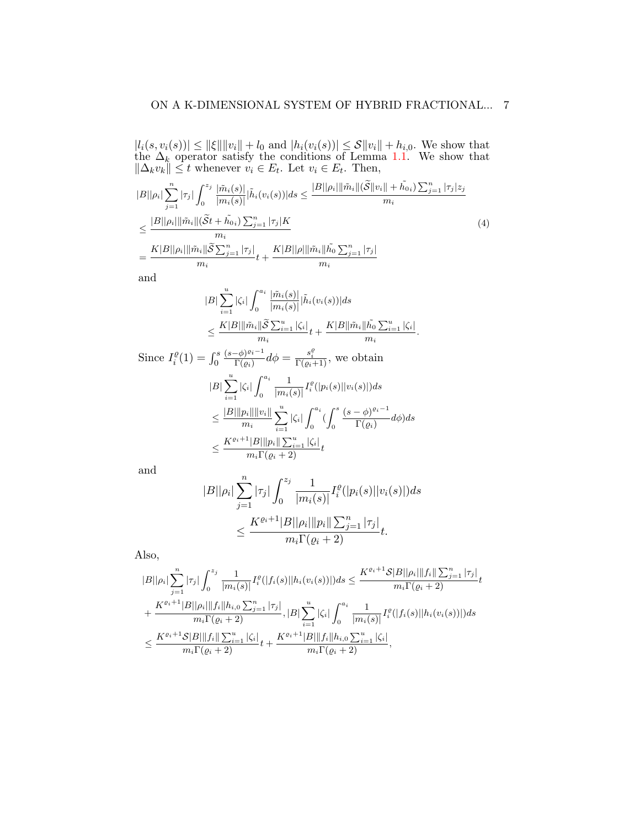$|l_i(s, v_i(s))| \le ||\xi|| ||v_i|| + l_0$  and  $|h_i(v_i(s))| \le S ||v_i|| + h_{i,0}$ . We show that the  $\Delta_k$  operator satisfy the conditions of Lemma [1.1.](#page-3-0) We show that  $\|\Delta_k v_k\| \leq t$  whenever  $v_i \in E_t$ . Let  $v_i \in E_t$ . Then,

<span id="page-6-0"></span>
$$
|B||\rho_i| \sum_{j=1}^n |\tau_j| \int_0^{z_j} \frac{|\tilde{m}_i(s)|}{|m_i(s)|} |\tilde{h}_i(v_i(s))| ds \le \frac{|B||\rho_i| ||\tilde{m}_i| |(\tilde{S}||v_i|| + \tilde{h}_{0i}) \sum_{j=1}^n |\tau_j| z_j}{m_i}
$$
  

$$
\le \frac{|B||\rho_i| ||\tilde{m}_i| |(\tilde{S}t + \tilde{h}_{0i}) \sum_{j=1}^n |\tau_j| K}{m_i}
$$
  

$$
= \frac{K|B||\rho_i| ||\tilde{m}_i| |\tilde{S} \sum_{j=1}^n |\tau_j|}{m_i} t + \frac{K|B||\rho| ||\tilde{m}_i| |\tilde{h}_0 \sum_{j=1}^n |\tau_j|}{m_i}
$$
 (4)

and

$$
|B| \sum_{i=1}^{u} |\zeta_i| \int_0^{a_i} \frac{|\tilde{m}_i(s)|}{|m_i(s)|} |\tilde{h}_i(v_i(s))| ds
$$
  

$$
\leq \frac{K|B| ||\tilde{m}_i || \widetilde{S} \sum_{i=1}^{u} |\zeta_i|}{m_i} t + \frac{K|B| |\tilde{m}_i || \tilde{h}_0 \sum_{i=1}^{u} |\zeta_i|}{m_i}.
$$

Since 
$$
I_i^{\varrho}(1) = \int_0^s \frac{(s-\phi)^{\varrho_i-1}}{\Gamma(\varrho_i)} d\phi = \frac{s_i^{\varrho}}{\Gamma(\varrho_i+1)}
$$
, we obtain  
\n
$$
|B| \sum_{i=1}^u |\zeta_i| \int_0^{a_i} \frac{1}{|m_i(s)|} I_i^{\varrho}(|p_i(s)||v_i(s)|) ds
$$
\n
$$
\leq \frac{|B| ||p_i|| ||v_i||}{m_i} \sum_{i=1}^u |\zeta_i| \int_0^{a_i} (\int_0^s \frac{(s-\phi)^{\varrho_i-1}}{\Gamma(\varrho_i)} d\phi) ds
$$
\n
$$
\leq \frac{K^{\varrho_i+1} |B| ||p_i|| \sum_{i=1}^u |\zeta_i|}{m_i \Gamma(\varrho_i+2)} t
$$

and

$$
|B||\rho_i| \sum_{j=1}^n |\tau_j| \int_0^{z_j} \frac{1}{|m_i(s)|} I_i^{\varrho}(|p_i(s)||v_i(s)|) ds
$$
  

$$
\leq \frac{K^{\varrho_i+1}|B||\rho_i| ||p_i|| \sum_{j=1}^n |\tau_j|}{m_i \Gamma(\varrho_i+2)} t.
$$

Also,

$$
|B||\rho_i| \sum_{j=1}^n |\tau_j| \int_0^{z_j} \frac{1}{|m_i(s)|} I_i^{\varrho}(|f_i(s)||h_i(v_i(s))|) ds \le \frac{K^{\varrho_i+1} \mathcal{S}|B||\rho_i| ||f_i|| \sum_{j=1}^n |\tau_j|}{m_i \Gamma(\varrho_i+2)} t + \frac{K^{\varrho_i+1}|B||\rho_i| ||f_i||h_{i,0} \sum_{j=1}^n |\tau_j|}{m_i \Gamma(\varrho_i+2)}, |B| \sum_{i=1}^u |\zeta_i| \int_0^{a_i} \frac{1}{|m_i(s)|} I_i^{\varrho}(|f_i(s)||h_i(v_i(s))|) ds \le \frac{K^{\varrho_i+1} \mathcal{S}|B|| ||f_i|| \sum_{i=1}^u |\zeta_i|}{m_i \Gamma(\varrho_i+2)} t + \frac{K^{\varrho_i+1}|B|| ||f_i||h_{i,0} \sum_{i=1}^u |\zeta_i|}{m_i \Gamma(\varrho_i+2)},
$$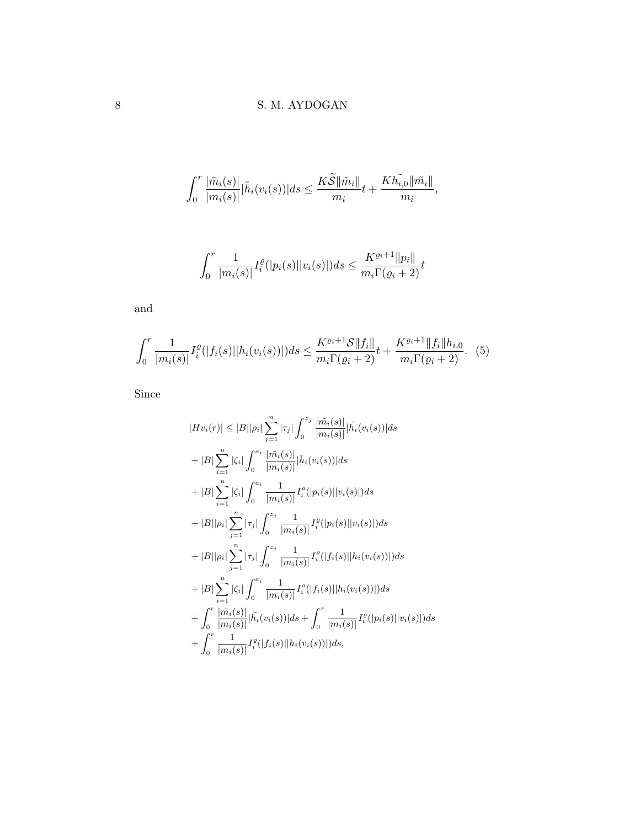$$
\int_0^r \frac{|\tilde{m}_i(s)|}{|m_i(s)|} |\tilde{h}_i(v_i(s))| ds \leq \frac{K\widetilde{S} \|\tilde{m}_i\|}{m_i} t + \frac{K\widetilde{h_{i,0}} \|\tilde{m}_i\|}{m_i},
$$

$$
\int_0^r \frac{1}{|m_i(s)|} I_i^{\varrho}(|p_i(s)| |v_i(s)|) ds \leq \frac{K^{\varrho_i+1} ||p_i||}{m_i \Gamma(\varrho_i+2)} t
$$

and

<span id="page-7-0"></span>
$$
\int_0^r \frac{1}{|m_i(s)|} I_i^{\varrho}(|f_i(s)||h_i(v_i(s))|) ds \le \frac{K^{\varrho_i+1} \mathcal{S} ||f_i||}{m_i \Gamma(\varrho_i+2)} t + \frac{K^{\varrho_i+1} ||f_i|| h_{i,0}}{m_i \Gamma(\varrho_i+2)}.
$$
 (5)

Since

$$
|Hv_i(r)| \leq |B||\rho_i| \sum_{j=1}^n |\tau_j| \int_0^{z_j} \frac{|\tilde{m}_i(s)|}{|m_i(s)|} |\tilde{h}_i(v_i(s))| ds
$$
  
+  $|B| \sum_{i=1}^u |\zeta_i| \int_0^{a_i} \frac{|\tilde{m}_i(s)|}{|m_i(s)|} |\tilde{h}_i(v_i(s))| ds$   
+  $|B| \sum_{i=1}^u |\zeta_i| \int_0^{a_i} \frac{1}{|m_i(s)|} I_i^{\varrho}(|p_i(s)||v_i(s)|) ds$   
+  $|B||\rho_i| \sum_{j=1}^n |\tau_j| \int_0^{z_j} \frac{1}{|m_i(s)|} I_i^{\varrho}(|p_i(s)||v_i(s)|) ds$   
+  $|B||\rho_i| \sum_{j=1}^n |\tau_j| \int_0^{z_j} \frac{1}{|m_i(s)|} I_i^{\varrho}(|f_i(s)||h_i(v_i(s))|) ds$   
+  $|B| \sum_{i=1}^u |\zeta_i| \int_0^{a_i} \frac{1}{|m_i(s)|} I_i^{\varrho}(|f_i(s)||h_i(v_i(s))|) ds$   
+  $\int_0^r \frac{|\tilde{m}_i(s)|}{|m_i(s)|} |\tilde{h}_i(v_i(s))| ds + \int_0^r \frac{1}{|m_i(s)|} I_i^{\varrho}(|p_i(s)||v_i(s)|) ds$   
+  $\int_0^r \frac{1}{|m_i(s)|} I_i^{\varrho}(|f_i(s)||h_i(v_i(s))|) ds$ ,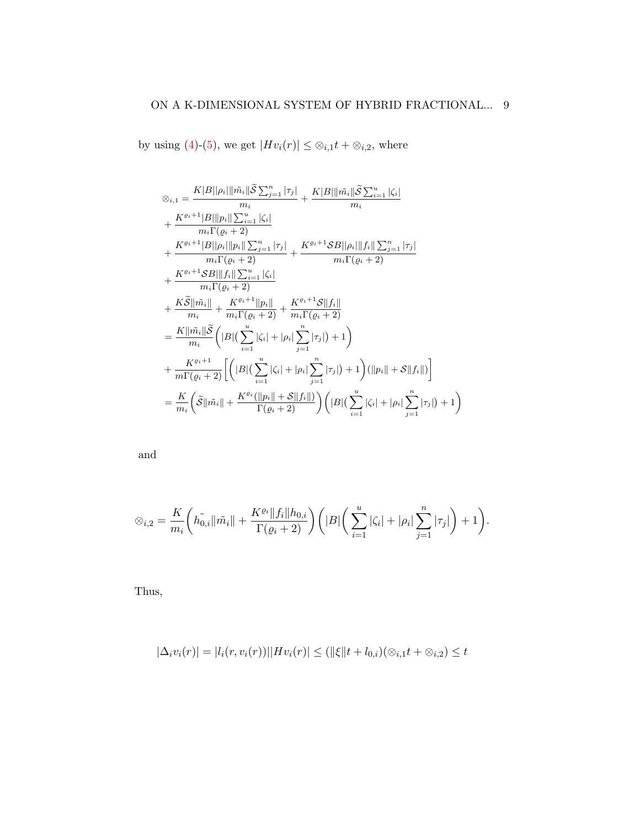by using [\(4\)](#page-6-0)-[\(5\)](#page-7-0), we get  $|Hv_i(r)| \leq \otimes_{i,1} t + \otimes_{i,2}$ , where

$$
\varphi_{i,1} = \frac{K|B||\rho_{i}||\tilde{m}_{i}||\tilde{S}\sum_{j=1}^{n}|\tau_{j}|}{m_{i}} + \frac{K|B||\tilde{m}_{i}||\tilde{S}\sum_{i=1}^{u}|\zeta_{i}|}{m_{i}}
$$
  
+ 
$$
\frac{K^{e_{i}+1}|B||p_{i}||\sum_{i=1}^{u}|\zeta_{i}|}{m_{i}\Gamma(\varrho_{i}+2)} + \frac{K^{e_{i}+1}|B||\rho_{i}||p_{i}||\sum_{j=1}^{n}|\tau_{j}|}{m_{i}\Gamma(\varrho_{i}+2)} + \frac{K^{e_{i}+1}SB||\rho_{i}||f_{i}||\sum_{j=1}^{n}|\tau_{j}|}{m_{i}\Gamma(\varrho_{i}+2)} + \frac{K^{e_{i}+1}SB||\tilde{f}_{i}||\sum_{i=1}^{n}|\tau_{j}|}{m_{i}\Gamma(\varrho_{i}+2)} + \frac{K^{e_{i}+1}SB||\tilde{f}_{i}||\sum_{i=1}^{u}|\zeta_{i}|}{m_{i}\Gamma(\varrho_{i}+2)} + \frac{K^{e_{i}+1}||p_{i}||}{m_{i}\Gamma(\varrho_{i}+2)} + \frac{K^{e_{i}+1}S||f_{i}||}{m_{i}\Gamma(\varrho_{i}+2)} + \frac{K^{e_{i}+1}S||f_{i}||}{m_{i}\Gamma(\varrho_{i}+2)} + \frac{K^{e_{i}+1}S||f_{i}||}{m_{i}\Gamma(\varrho_{i}+2)} \left( |B|\left(\sum_{i=1}^{u}|\zeta_{i}|+|\rho_{i}|\sum_{j=1}^{n}|\tau_{j}| \right)+1 \right) (||p_{i}||+S||f_{i}||) \right) + \frac{K^{e_{i}+1}}{m\Gamma(\varrho_{i}+2)} \left( |B|\left(\sum_{i=1}^{u}|\zeta_{i}|+|\rho_{i}|\sum_{j=1}^{n}|\tau_{j}| \right)+1 \right) (||p_{i}||+S||f_{i}||) \right) = \frac{K}{m_{i}} \left( \tilde{S}||\tilde{m_{i}}|| + \frac{K^{e_{i}}(||p_{i}||+S||f_{i}||)}{\Gamma(\varrho_{i}+2)} \right) \left( |B|\left(\
$$

and

$$
\otimes_{i,2} = \frac{K}{m_i} \left( \tilde{h}_{0,i} || \tilde{m_i} || + \frac{K^{\varrho_i} || f_i || h_{0,i}}{\Gamma(\varrho_i + 2)} \right) \left( |B| \left( \sum_{i=1}^u |\zeta_i| + |\rho_i| \sum_{j=1}^n |\tau_j| \right) + 1 \right).
$$

Thus,

$$
|\Delta_i v_i(r)| = |l_i(r, v_i(r))||Hv_i(r)| \le (||\xi||t + l_{0,i})(\otimes_{i,1} t + \otimes_{i,2}) \le t
$$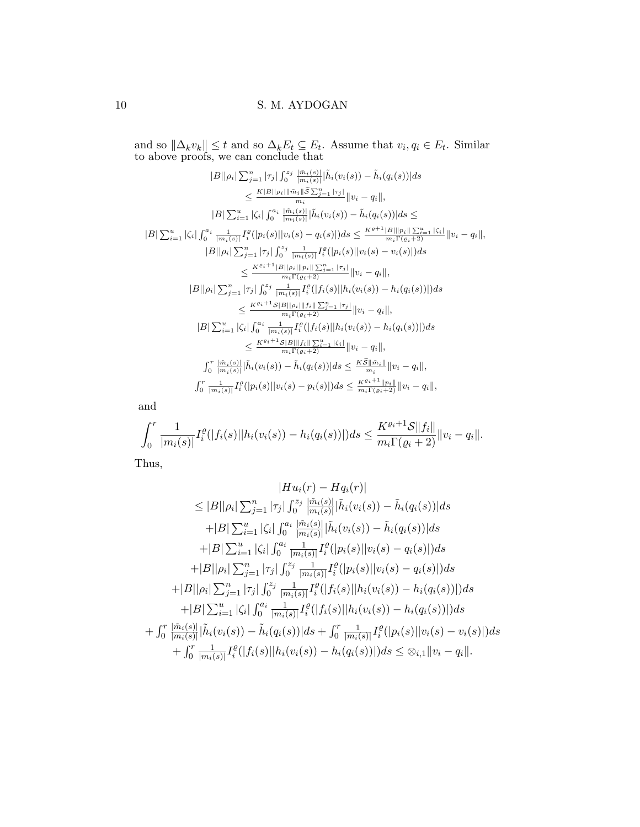and so  $\|\Delta_k v_k\| \leq t$  and so  $\Delta_k E_t \subseteq E_t$ . Assume that  $v_i, q_i \in E_t$ . Similar to above proofs, we can conclude that

$$
|B||\rho_i| \sum_{j=1}^{n} |\tau_j| \int_0^{z_j} \frac{|\tilde{m}_i(s)|}{|m_i(s)|} |\tilde{h}_i(v_i(s)) - \tilde{h}_i(q_i(s))| ds
$$
  
\n
$$
\leq \frac{K|B||\rho_i||\tilde{m}_i||\tilde{S} \sum_{j=1}^{n} |\tau_j|}{m_i} ||v_i - q_i||,
$$
  
\n
$$
|B| \sum_{i=1}^{u} |\zeta_i| \int_0^{a_i} \frac{|\tilde{m}_i(s)|}{|m_i(s)|} |\tilde{h}_i(v_i(s)) - \tilde{h}_i(q_i(s))| ds \leq
$$
  
\n
$$
|B| \sum_{i=1}^{u} |\zeta_i| \int_0^{a_i} \frac{1}{|\tilde{m}_i(s)|} I_i^{\varrho} (|p_i(s)||v_i(s) - q_i(s)|) ds \leq \frac{K^{e+1}|B||p_i|| \sum_{i=1}^{u} |\zeta_i|}{m_i \Gamma(e_i+2)} ||v_i - q_i||,
$$
  
\n
$$
|B||\rho_i| \sum_{j=1}^{n} |\tau_j| \int_0^{z_j} \frac{1}{|\tilde{m}_i(s)|} I_i^{\varrho} (|p_i(s)||v_i(s) - v_i(s)|) ds
$$
  
\n
$$
\leq \frac{K^{e_i+1}|B||\rho_i||p_i|| \sum_{j=1}^{n} |\tau_j|}{m_i \Gamma(e_i+2)} ||v_i - q_i||,
$$
  
\n
$$
|B||\rho_i| \sum_{j=1}^{n} |\tau_j| \int_0^{z_j} \frac{1}{|\tilde{m}_i(s)|} I_i^{\varrho} (|f_i(s)||h_i(v_i(s)) - h_i(q_i(s))|) ds
$$
  
\n
$$
\leq \frac{K^{e_i+1}S|B||\rho_i||f_i|| \sum_{j=1}^{n} |\tau_j|}{m_i \Gamma(e_i+2)} ||v_i - q_i||,
$$
  
\n
$$
|B| \sum_{i=1}^{u} |\zeta_i| \int_0^{a_i} \frac{1}{|\tilde{m}_i(s)|} I_i^{\varrho} (|f_i(s)||h_i(v_i(s)) - h_i(q_i(s))|) ds
$$
  
\n
$$
\leq \frac{K^{e_i+1}S|B||\{f_i\}}
$$

and

$$
\int_0^r \frac{1}{|m_i(s)|} I_i^{\varrho}(|f_i(s)||h_i(v_i(s)) - h_i(q_i(s))|) ds \leq \frac{K^{\varrho_i+1} \mathcal{S} ||f_i||}{m_i \Gamma(\varrho_i+2)} ||v_i - q_i||.
$$

Thus,

$$
|Hu_i(r) - Hq_i(r)|
$$
  
\n
$$
\leq |B||\rho_i| \sum_{j=1}^n |\tau_j| \int_0^{z_j} \frac{|\tilde{m}_i(s)|}{|m_i(s)|} |\tilde{h}_i(v_i(s)) - \tilde{h}_i(q_i(s))| ds
$$
  
\n
$$
+ |B| \sum_{i=1}^u |\zeta_i| \int_0^{a_i} \frac{|\tilde{m}_i(s)|}{|m_i(s)|} |\tilde{h}_i(v_i(s)) - \tilde{h}_i(q_i(s))| ds
$$
  
\n
$$
+ |B| \sum_{i=1}^u |\zeta_i| \int_0^{a_i} \frac{1}{|m_i(s)|} I_i^{\varrho}(|p_i(s)||v_i(s) - q_i(s)|) ds
$$
  
\n
$$
+ |B||\rho_i| \sum_{j=1}^n |\tau_j| \int_0^{z_j} \frac{1}{|m_i(s)|} I_i^{\varrho}(|p_i(s)||v_i(s) - q_i(s)|) ds
$$
  
\n
$$
+ |B||\rho_i| \sum_{j=1}^n |\tau_j| \int_0^{z_j} \frac{1}{|m_i(s)|} I_i^{\varrho}(|f_i(s)||h_i(v_i(s)) - h_i(q_i(s))|) ds
$$
  
\n
$$
+ |B| \sum_{i=1}^u |\zeta_i| \int_0^{a_i} \frac{1}{|m_i(s)|} I_i^{\varrho}(|f_i(s)||h_i(v_i(s)) - h_i(q_i(s))|) ds
$$
  
\n
$$
+ \int_0^r \frac{|\tilde{m}_i(s)|}{|m_i(s)|} \tilde{h}_i(v_i(s)) - \tilde{h}_i(q_i(s))| ds + \int_0^r \frac{1}{|m_i(s)|} I_i^{\varrho}(|p_i(s)||v_i(s) - v_i(s)|) ds
$$
  
\n
$$
+ \int_0^r \frac{1}{|m_i(s)|} I_i^{\varrho}(|f_i(s)||h_i(v_i(s)) - h_i(q_i(s))|) ds \leq \otimes_{i,1} ||v_i - q_i||.
$$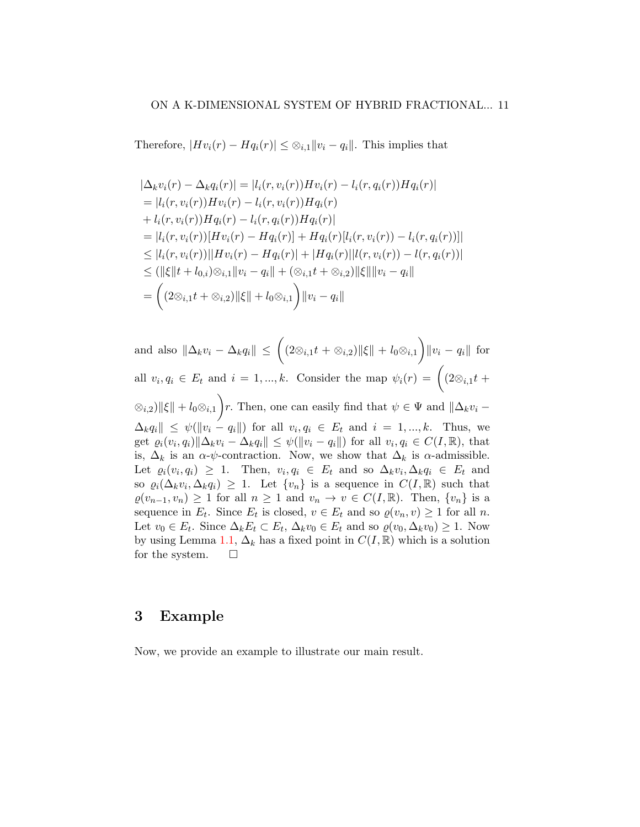Therefore,  $|Hv_i(r) - Hq_i(r)| \leq \mathcal{D}_{i,1} ||v_i - q_i||$ . This implies that

$$
|\Delta_k v_i(r) - \Delta_k q_i(r)| = |l_i(r, v_i(r))Hv_i(r) - l_i(r, q_i(r))Hq_i(r)|
$$
  
\n
$$
= |l_i(r, v_i(r))Hv_i(r) - l_i(r, v_i(r))Hq_i(r)
$$
  
\n
$$
+ l_i(r, v_i(r))Hq_i(r) - l_i(r, q_i(r))Hq_i(r)|
$$
  
\n
$$
= |l_i(r, v_i(r))[Hv_i(r) - Hq_i(r)] + Hq_i(r)[l_i(r, v_i(r)) - l_i(r, q_i(r))]|
$$
  
\n
$$
\leq |l_i(r, v_i(r))||Hv_i(r) - Hq_i(r)| + |Hq_i(r)||l(r, v_i(r)) - l(r, q_i(r))|
$$
  
\n
$$
\leq (||\xi||t + l_{0,i})\otimes_{i,1} ||v_i - q_i|| + (\otimes_{i,1}t + \otimes_{i,2})||\xi|| ||v_i - q_i||
$$
  
\n
$$
= \left( (2\otimes_{i,1}t + \otimes_{i,2})||\xi|| + l_0\otimes_{i,1} \right) ||v_i - q_i||
$$

and also  $\|\Delta_kv_i-\Delta_kq_i\|\leq \Big((2\otimes_{i,1}t+\otimes_{i,2})\|\xi\|+l_0\otimes_{i,1}\Big)\|v_i-q_i\|\ \text{for}\ \$ all  $v_i, q_i \in E_t$  and  $i = 1, ..., k$ . Consider the map  $\psi_i(r) = \left( \begin{array}{c} 2 \otimes_{i,1} t + \end{array} \right)$  $\langle \otimes_{i,2} \rangle ||\xi|| + l_0 \otimes_{i,1} \bigg) r.$  Then, one can easily find that  $\psi \in \Psi$  and  $||\Delta_k v_i \Delta_k q_i \| \leq \psi(||v_i - q_i||)$  for all  $v_i, q_i \in E_t$  and  $i = 1, ..., k$ . Thus, we get  $\varrho_i(v_i, q_i) \|\Delta_k v_i - \Delta_k q_i\| \leq \psi(||v_i - q_i||)$  for all  $v_i, q_i \in C(I, \mathbb{R})$ , that is,  $\Delta_k$  is an  $\alpha$ - $\psi$ -contraction. Now, we show that  $\Delta_k$  is  $\alpha$ -admissible. Let  $\varrho_i(v_i, q_i) \geq 1$ . Then,  $v_i, q_i \in E_t$  and so  $\Delta_k v_i, \Delta_k q_i \in E_t$  and so  $\varrho_i(\Delta_k v_i, \Delta_k q_i) \geq 1$ . Let  $\{v_n\}$  is a sequence in  $C(I, \mathbb{R})$  such that  $\varrho(v_{n-1}, v_n) \geq 1$  for all  $n \geq 1$  and  $v_n \to v \in C(I, \mathbb{R})$ . Then,  $\{v_n\}$  is a sequence in  $E_t$ . Since  $E_t$  is closed,  $v \in E_t$  and so  $\varrho(v_n, v) \ge 1$  for all n. Let  $v_0 \in E_t$ . Since  $\Delta_k E_t \subset E_t$ ,  $\Delta_k v_0 \in E_t$  and so  $\varrho(v_0, \Delta_k v_0) \geq 1$ . Now by using Lemma [1.1,](#page-3-0)  $\Delta_k$  has a fixed point in  $C(I, \mathbb{R})$  which is a solution for the system.  $\Box$ 

## 3 Example

Now, we provide an example to illustrate our main result.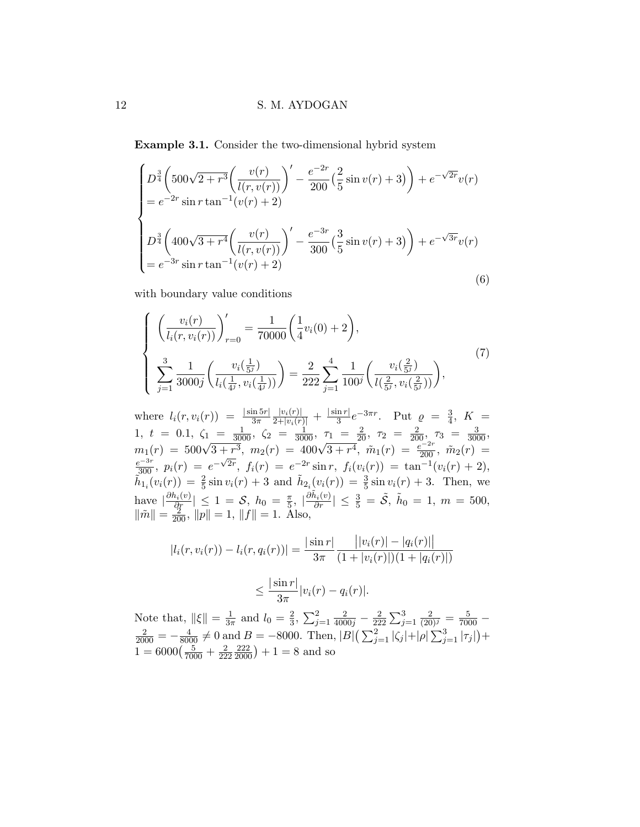Example 3.1. Consider the two-dimensional hybrid system

<span id="page-11-0"></span>
$$
\begin{cases}\nD^{\frac{3}{4}}\left(500\sqrt{2+r^3}\left(\frac{v(r)}{l(r,v(r))}\right)' - \frac{e^{-2r}}{200}\left(\frac{2}{5}\sin v(r) + 3\right)\right) + e^{-\sqrt{2r}}v(r) \\
= e^{-2r}\sin r\tan^{-1}(v(r) + 2) \\
D^{\frac{3}{4}}\left(400\sqrt{3+r^4}\left(\frac{v(r)}{l(r,v(r))}\right)' - \frac{e^{-3r}}{300}\left(\frac{3}{5}\sin v(r) + 3\right)\right) + e^{-\sqrt{3r}}v(r) \\
= e^{-3r}\sin r\tan^{-1}(v(r) + 2)\n\end{cases}
$$
\n(6)

with boundary value conditions

<span id="page-11-1"></span>
$$
\begin{cases}\n\left(\frac{v_i(r)}{l_i(r, v_i(r))}\right)'_{r=0} = \frac{1}{70000} \left(\frac{1}{4} v_i(0) + 2\right),\\ \n\sum_{j=1}^3 \frac{1}{3000j} \left(\frac{v_i\left(\frac{1}{5^j}\right)}{l_i\left(\frac{1}{4^j}, v_i\left(\frac{1}{4^j}\right)\right)}\right) = \frac{2}{222} \sum_{j=1}^4 \frac{1}{100^j} \left(\frac{v_i\left(\frac{2}{5^j}\right)}{l\left(\frac{2}{5^j}, v_i\left(\frac{2}{5^j}\right)\right)}\right),\n\end{cases} (7)
$$

where  $l_i(r, v_i(r)) = \frac{|\sin 5r|}{3\pi}$  $\frac{|v_i(r)|}{2+|v_i(r)|} + \frac{|\sin r|}{3}$  $\frac{\ln r}{3}e^{-3\pi r}$ . Put  $\varrho = \frac{3}{4}$  $\frac{3}{4}$ ,  $K =$ 1,  $t = 0.1$ ,  $\zeta_1 = \frac{1}{3000}$ ,  $\zeta_2 = \frac{1}{3000}$ ,  $\tau_1 = \frac{2}{20}$ ,  $\tau_2 = \frac{2}{200}$ ,  $\tau_3 = \frac{3}{3000}$ ,<br>  $m_1(r) = 500\sqrt{3 + r^3}$ ,  $m_2(r) = 400\sqrt{3 + r^4}$ ,  $\tilde{m}_1(r) = \frac{e^{-2r}}{200}$ ,  $\tilde{m}_2(r) = \frac{e^{-3r}}{300}$ ,  $p_i(r) = e^{-\sqrt{2r$  $\tilde{h}_{1_i}(v_i(r)) = \frac{2}{5}\sin v_i(r) + 3$  and  $\tilde{h}_{2_i}(v_i(r)) = \frac{3}{5}\sin v_i(r) + 3$ . Then, we have  $\left|\frac{\partial h_i(v)}{\partial x}\right| \leq 1 = \mathcal{S}, h_0 = \frac{\pi}{5}$  $\frac{\pi}{5}$ ,  $\left|\frac{\partial \tilde{h}_i(v)}{\partial r}\right| \leq \frac{3}{5} = \tilde{\mathcal{S}}, \ \tilde{h}_0 = 1, \ m = 500,$  $\|\tilde{m}\| = \frac{2}{200}, \|p\| = 1, \|f\| = 1.$  Also,

$$
|l_i(r, v_i(r)) - l_i(r, q_i(r))| = \frac{|\sin r|}{3\pi} \frac{||v_i(r)| - |q_i(r)||}{(1 + |v_i(r)|)(1 + |q_i(r)|)}
$$
  

$$
\leq \frac{|\sin r|}{3\pi} |v_i(r) - q_i(r)|.
$$

Note that,  $\|\xi\| = \frac{1}{3\pi}$  $\frac{1}{3\pi}$  and  $l_0 = \frac{2}{3}$  $\frac{2}{3}, \sum_{j=1}^{2} \frac{2}{4000j} - \frac{2}{22}$  $\frac{2}{222}\sum_{j=1}^{3}\frac{2}{(20)^j}=\frac{5}{7000} \frac{2}{2000} = -\frac{4}{8000} \neq 0$  and  $B = -8000$ . Then,  $|B|(\sum_{j=1}^{2} |\zeta_j| + |\rho| \sum_{j=1}^{3} |\tau_j|) +$  $1 = 6000\left(\frac{5}{7000} + \frac{2}{22}\right)$ 222  $\left(\frac{222}{2000}\right) + 1 = 8$  and so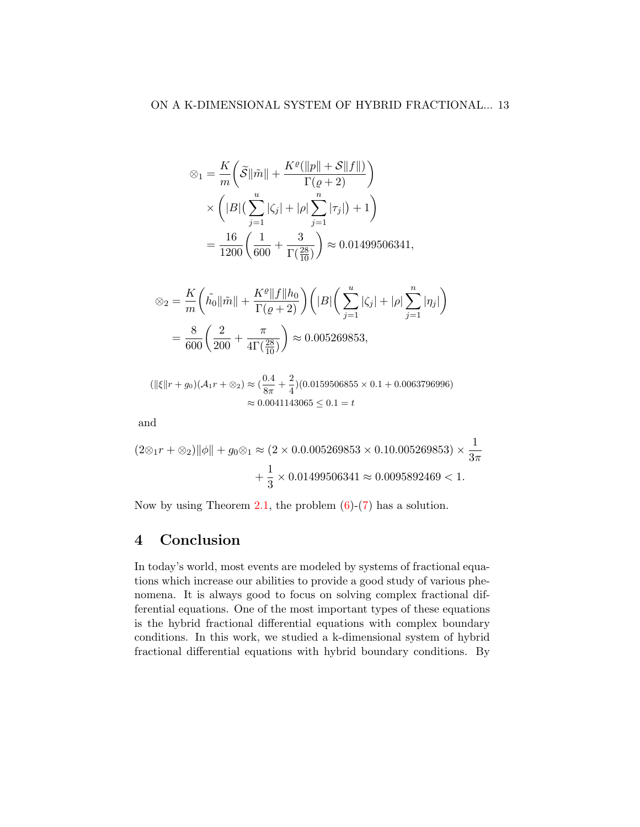$$
\begin{split} \otimes_1 &= \frac{K}{m} \bigg( \widetilde{\mathcal{S}} \|\tilde{m}\| + \frac{K^{\varrho}(\|p\| + \mathcal{S}\|f\|)}{\Gamma(\varrho + 2)} \bigg) \\ &\times \bigg( |B| \big( \sum_{j=1}^u |\zeta_j| + |\rho| \sum_{j=1}^n |\tau_j| \big) + 1 \bigg) \\ &= \frac{16}{1200} \bigg( \frac{1}{600} + \frac{3}{\Gamma(\frac{28}{10})} \bigg) \approx 0.01499506341, \end{split}
$$

$$
\otimes_2 = \frac{K}{m} \left( \tilde{h_0} \|\tilde{m}\| + \frac{K^{\varrho} \|f\| h_0}{\Gamma(\varrho + 2)} \right) \left( |B| \left( \sum_{j=1}^u |\zeta_j| + |\rho| \sum_{j=1}^n |\eta_j| \right) \right)
$$
  
=  $\frac{8}{600} \left( \frac{2}{200} + \frac{\pi}{4\Gamma(\frac{28}{10})} \right) \approx 0.005269853,$ 

$$
(\|\xi\|r + g_0)(\mathcal{A}_1r + \otimes_2) \approx (\frac{0.4}{8\pi} + \frac{2}{4})(0.0159506855 \times 0.1 + 0.0063796996)
$$

$$
\approx 0.0041143065 \le 0.1 = t
$$

and

$$
(2 \otimes_1 r + \otimes_2) ||\phi|| + g_0 \otimes_1 \approx (2 \times 0.0.005269853 \times 0.10.005269853) \times \frac{1}{3\pi} + \frac{1}{3} \times 0.01499506341 \approx 0.0095892469 < 1.
$$

Now by using Theorem [2.1,](#page-4-0) the problem  $(6)-(7)$  $(6)-(7)$  has a solution.

# 4 Conclusion

In today's world, most events are modeled by systems of fractional equations which increase our abilities to provide a good study of various phenomena. It is always good to focus on solving complex fractional differential equations. One of the most important types of these equations is the hybrid fractional differential equations with complex boundary conditions. In this work, we studied a k-dimensional system of hybrid fractional differential equations with hybrid boundary conditions. By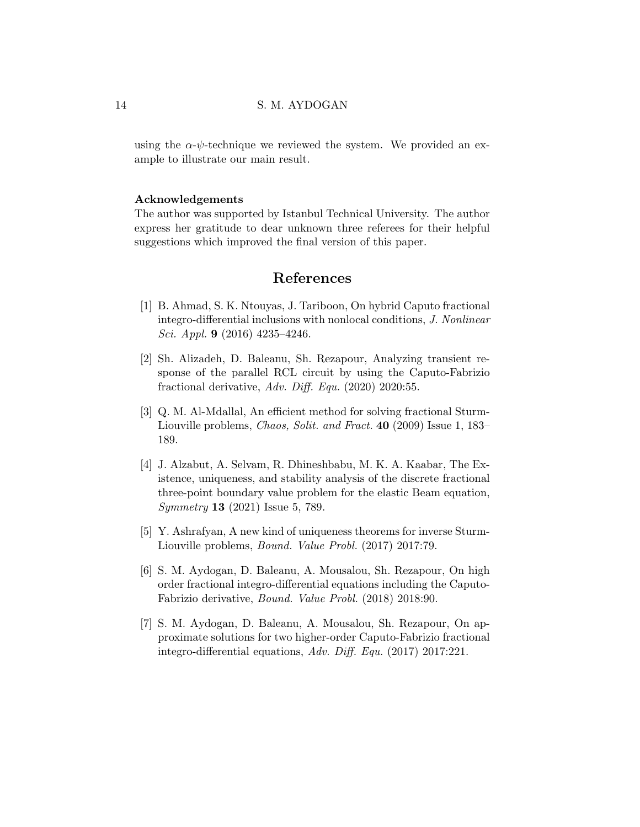using the  $\alpha$ - $\psi$ -technique we reviewed the system. We provided an example to illustrate our main result.

#### Acknowledgements

The author was supported by Istanbul Technical University. The author express her gratitude to dear unknown three referees for their helpful suggestions which improved the final version of this paper.

# References

- <span id="page-13-6"></span>[1] B. Ahmad, S. K. Ntouyas, J. Tariboon, On hybrid Caputo fractional integro-differential inclusions with nonlocal conditions, J. Nonlinear Sci. Appl. 9 (2016) 4235–4246.
- <span id="page-13-3"></span>[2] Sh. Alizadeh, D. Baleanu, Sh. Rezapour, Analyzing transient response of the parallel RCL circuit by using the Caputo-Fabrizio fractional derivative, Adv. Diff. Equ. (2020) 2020:55.
- <span id="page-13-0"></span>[3] Q. M. Al-Mdallal, An efficient method for solving fractional Sturm-Liouville problems, Chaos, Solit. and Fract. 40 (2009) Issue 1, 183– 189.
- <span id="page-13-1"></span>[4] J. Alzabut, A. Selvam, R. Dhineshbabu, M. K. A. Kaabar, The Existence, uniqueness, and stability analysis of the discrete fractional three-point boundary value problem for the elastic Beam equation, Symmetry 13 (2021) Issue 5, 789.
- <span id="page-13-2"></span>[5] Y. Ashrafyan, A new kind of uniqueness theorems for inverse Sturm-Liouville problems, Bound. Value Probl. (2017) 2017:79.
- <span id="page-13-4"></span>[6] S. M. Aydogan, D. Baleanu, A. Mousalou, Sh. Rezapour, On high order fractional integro-differential equations including the Caputo-Fabrizio derivative, Bound. Value Probl. (2018) 2018:90.
- <span id="page-13-5"></span>[7] S. M. Aydogan, D. Baleanu, A. Mousalou, Sh. Rezapour, On approximate solutions for two higher-order Caputo-Fabrizio fractional integro-differential equations, Adv. Diff. Equ. (2017) 2017:221.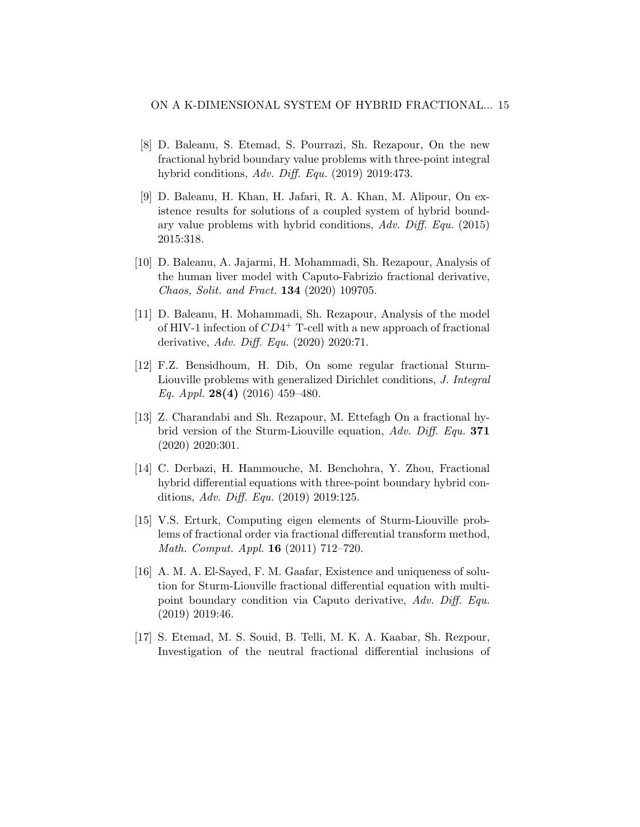- <span id="page-14-5"></span>[8] D. Baleanu, S. Etemad, S. Pourrazi, Sh. Rezapour, On the new fractional hybrid boundary value problems with three-point integral hybrid conditions, Adv. Diff. Equ. (2019) 2019:473.
- <span id="page-14-6"></span>[9] D. Baleanu, H. Khan, H. Jafari, R. A. Khan, M. Alipour, On existence results for solutions of a coupled system of hybrid boundary value problems with hybrid conditions, Adv. Diff. Equ. (2015) 2015:318.
- <span id="page-14-3"></span>[10] D. Baleanu, A. Jajarmi, H. Mohammadi, Sh. Rezapour, Analysis of the human liver model with Caputo-Fabrizio fractional derivative, Chaos, Solit. and Fract. 134 (2020) 109705.
- <span id="page-14-4"></span>[11] D. Baleanu, H. Mohammadi, Sh. Rezapour, Analysis of the model of HIV-1 infection of  $CD4^+$  T-cell with a new approach of fractional derivative, Adv. Diff. Equ. (2020) 2020:71.
- <span id="page-14-0"></span>[12] F.Z. Bensidhoum, H. Dib, On some regular fractional Sturm-Liouville problems with generalized Dirichlet conditions, J. Integral Eq. Appl. 28(4) (2016) 459-480.
- <span id="page-14-7"></span>[13] Z. Charandabi and Sh. Rezapour, M. Ettefagh On a fractional hybrid version of the Sturm-Liouville equation, Adv. Diff. Equ. 371 (2020) 2020:301.
- <span id="page-14-8"></span>[14] C. Derbazi, H. Hammouche, M. Benchohra, Y. Zhou, Fractional hybrid differential equations with three-point boundary hybrid conditions, Adv. Diff. Equ. (2019) 2019:125.
- <span id="page-14-1"></span>[15] V.S. Erturk, Computing eigen elements of Sturm-Liouville problems of fractional order via fractional differential transform method, Math. Comput. Appl. 16 (2011) 712–720.
- <span id="page-14-9"></span>[16] A. M. A. El-Sayed, F. M. Gaafar, Existence and uniqueness of solution for Sturm-Liouville fractional differential equation with multipoint boundary condition via Caputo derivative, Adv. Diff. Equ. (2019) 2019:46.
- <span id="page-14-2"></span>[17] S. Etemad, M. S. Souid, B. Telli, M. K. A. Kaabar, Sh. Rezpour, Investigation of the neutral fractional differential inclusions of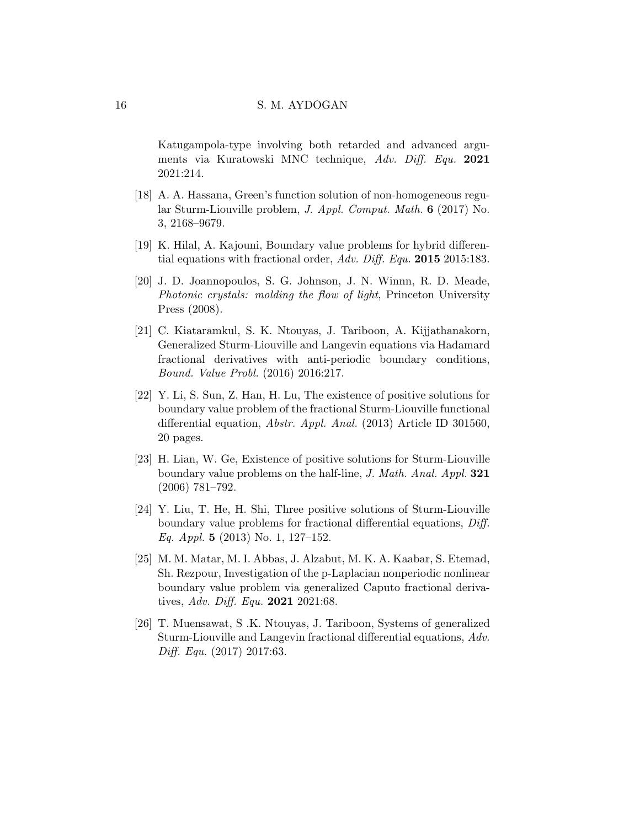Katugampola-type involving both retarded and advanced arguments via Kuratowski MNC technique, Adv. Diff. Equ. 2021 2021:214.

- <span id="page-15-1"></span>[18] A. A. Hassana, Green's function solution of non-homogeneous regular Sturm-Liouville problem, J. Appl. Comput. Math. 6 (2017) No. 3, 2168–9679.
- <span id="page-15-8"></span>[19] K. Hilal, A. Kajouni, Boundary value problems for hybrid differential equations with fractional order, Adv. Diff. Equ. 2015 2015:183.
- <span id="page-15-0"></span>[20] J. D. Joannopoulos, S. G. Johnson, J. N. Winnn, R. D. Meade, Photonic crystals: molding the flow of light, Princeton University Press (2008).
- <span id="page-15-2"></span>[21] C. Kiataramkul, S. K. Ntouyas, J. Tariboon, A. Kijjathanakorn, Generalized Sturm-Liouville and Langevin equations via Hadamard fractional derivatives with anti-periodic boundary conditions, Bound. Value Probl. (2016) 2016:217.
- <span id="page-15-3"></span>[22] Y. Li, S. Sun, Z. Han, H. Lu, The existence of positive solutions for boundary value problem of the fractional Sturm-Liouville functional differential equation, Abstr. Appl. Anal. (2013) Article ID 301560, 20 pages.
- <span id="page-15-4"></span>[23] H. Lian, W. Ge, Existence of positive solutions for Sturm-Liouville boundary value problems on the half-line, J. Math. Anal. Appl. 321 (2006) 781–792.
- <span id="page-15-5"></span>[24] Y. Liu, T. He, H. Shi, Three positive solutions of Sturm-Liouville boundary value problems for fractional differential equations, Diff. Eq. Appl. 5 (2013) No. 1, 127–152.
- <span id="page-15-6"></span>[25] M. M. Matar, M. I. Abbas, J. Alzabut, M. K. A. Kaabar, S. Etemad, Sh. Rezpour, Investigation of the p-Laplacian nonperiodic nonlinear boundary value problem via generalized Caputo fractional derivatives, Adv. Diff. Equ. 2021 2021:68.
- <span id="page-15-7"></span>[26] T. Muensawat, S .K. Ntouyas, J. Tariboon, Systems of generalized Sturm-Liouville and Langevin fractional differential equations, Adv. Diff. Equ. (2017) 2017:63.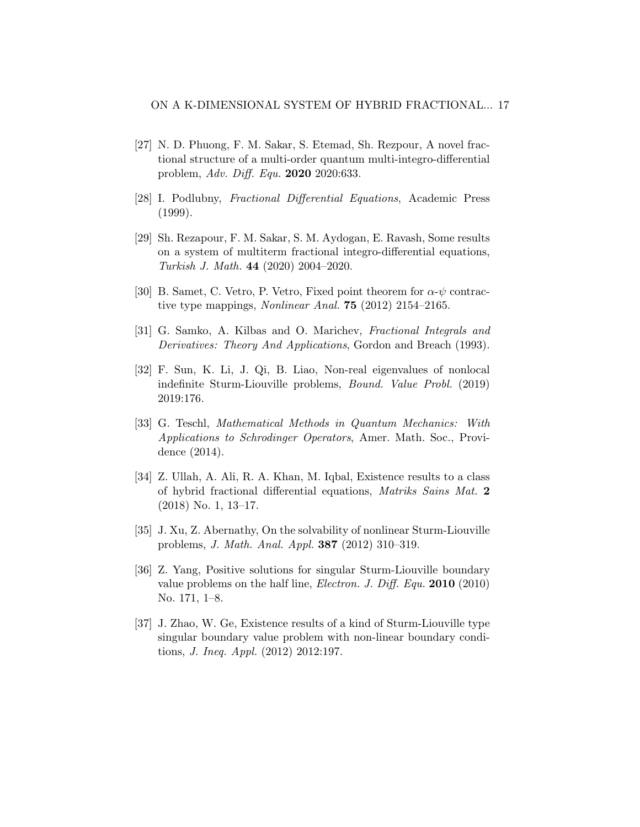- <span id="page-16-1"></span>[27] N. D. Phuong, F. M. Sakar, S. Etemad, Sh. Rezpour, A novel fractional structure of a multi-order quantum multi-integro-differential problem, Adv. Diff. Equ. 2020 2020:633.
- <span id="page-16-8"></span>[28] I. Podlubny, Fractional Differential Equations, Academic Press (1999).
- <span id="page-16-6"></span>[29] Sh. Rezapour, F. M. Sakar, S. M. Aydogan, E. Ravash, Some results on a system of multiterm fractional integro-differential equations, Turkish J. Math. 44 (2020) 2004–2020.
- <span id="page-16-10"></span>[30] B. Samet, C. Vetro, P. Vetro, Fixed point theorem for  $\alpha$ - $\psi$  contractive type mappings, Nonlinear Anal. 75 (2012) 2154–2165.
- <span id="page-16-9"></span>[31] G. Samko, A. Kilbas and O. Marichev, Fractional Integrals and Derivatives: Theory And Applications, Gordon and Breach (1993).
- <span id="page-16-2"></span>[32] F. Sun, K. Li, J. Qi, B. Liao, Non-real eigenvalues of nonlocal indefinite Sturm-Liouville problems, Bound. Value Probl. (2019) 2019:176.
- <span id="page-16-0"></span>[33] G. Teschl, Mathematical Methods in Quantum Mechanics: With Applications to Schrodinger Operators, Amer. Math. Soc., Providence (2014).
- <span id="page-16-7"></span>[34] Z. Ullah, A. Ali, R. A. Khan, M. Iqbal, Existence results to a class of hybrid fractional differential equations, Matriks Sains Mat. 2 (2018) No. 1, 13–17.
- <span id="page-16-3"></span>[35] J. Xu, Z. Abernathy, On the solvability of nonlinear Sturm-Liouville problems, J. Math. Anal. Appl. 387 (2012) 310–319.
- <span id="page-16-4"></span>[36] Z. Yang, Positive solutions for singular Sturm-Liouville boundary value problems on the half line, Electron. J. Diff. Equ. 2010 (2010) No. 171, 1–8.
- <span id="page-16-5"></span>[37] J. Zhao, W. Ge, Existence results of a kind of Sturm-Liouville type singular boundary value problem with non-linear boundary conditions, J. Ineq. Appl. (2012) 2012:197.